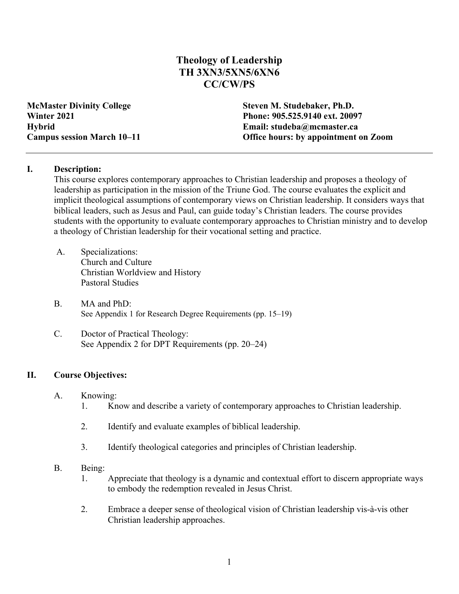# **Theology of Leadership TH 3XN3/5XN5/6XN6 CC/CW/PS**

**McMaster Divinity College Steven M. Studebaker, Ph.D.**

**Winter 2021 Phone: 905.525.9140 ext. 20097 Hybrid Email: studeba@mcmaster.ca Campus session March 10–11 Office hours: by appointment on Zoom**

## **I. Description:**

This course explores contemporary approaches to Christian leadership and proposes a theology of leadership as participation in the mission of the Triune God. The course evaluates the explicit and implicit theological assumptions of contemporary views on Christian leadership. It considers ways that biblical leaders, such as Jesus and Paul, can guide today's Christian leaders. The course provides students with the opportunity to evaluate contemporary approaches to Christian ministry and to develop a theology of Christian leadership for their vocational setting and practice.

- A. Specializations: Church and Culture Christian Worldview and History Pastoral Studies
- B. MA and PhD: See Appendix 1 for Research Degree Requirements (pp. 15–19)
- C. Doctor of Practical Theology: See Appendix 2 for DPT Requirements (pp. 20–24)

# **II. Course Objectives:**

- A. Knowing:
	- 1. Know and describe a variety of contemporary approaches to Christian leadership.
	- 2. Identify and evaluate examples of biblical leadership.
	- 3. Identify theological categories and principles of Christian leadership.
- B. Being:
	- 1. Appreciate that theology is a dynamic and contextual effort to discern appropriate ways to embody the redemption revealed in Jesus Christ.
	- 2. Embrace a deeper sense of theological vision of Christian leadership vis-à-vis other Christian leadership approaches.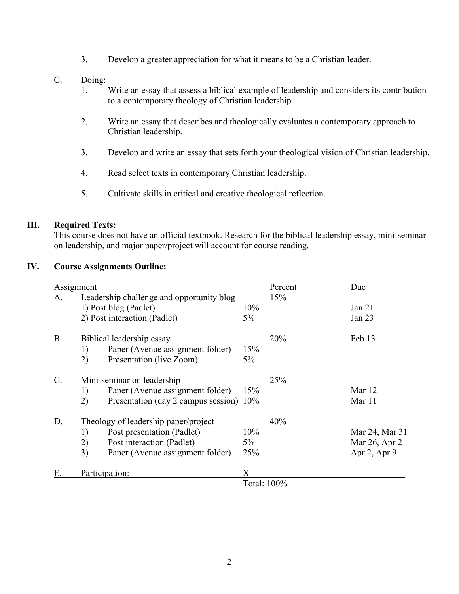- 3. Develop a greater appreciation for what it means to be a Christian leader.
- C. Doing:
	- 1. Write an essay that assess a biblical example of leadership and considers its contribution to a contemporary theology of Christian leadership.
	- 2. Write an essay that describes and theologically evaluates a contemporary approach to Christian leadership.
	- 3. Develop and write an essay that sets forth your theological vision of Christian leadership.
	- 4. Read select texts in contemporary Christian leadership.
	- 5. Cultivate skills in critical and creative theological reflection.

## **III. Required Texts:**

This course does not have an official textbook. Research for the biblical leadership essay, mini-seminar on leadership, and major paper/project will account for course reading.

## **IV. Course Assignments Outline:**

| Assignment      |                                        |                                           |       | Percent     | Due            |
|-----------------|----------------------------------------|-------------------------------------------|-------|-------------|----------------|
| A.              |                                        | Leadership challenge and opportunity blog | 15%   |             |                |
|                 |                                        | 1) Post blog (Padlet)                     | 10%   |             | Jan $21$       |
|                 | 2) Post interaction (Padlet)           |                                           |       |             | Jan 23         |
| <b>B.</b>       |                                        | Biblical leadership essay                 |       | 20%         | Feb 13         |
|                 | Paper (Avenue assignment folder)<br>1) |                                           |       |             |                |
|                 | 2)                                     | Presentation (live Zoom)                  | 5%    |             |                |
| $\mathcal{C}$ . |                                        | Mini-seminar on leadership                |       | 25%         |                |
|                 | 1)                                     | Paper (Avenue assignment folder)          | 15%   |             | Mar 12         |
|                 | 2)                                     | Presentation (day 2 campus session) 10%   |       |             | Mar 11         |
| D.              |                                        | Theology of leadership paper/project      | 40%   |             |                |
|                 | Post presentation (Padlet)<br>1)       |                                           |       |             | Mar 24, Mar 31 |
|                 | 2)                                     | Post interaction (Padlet)                 | $5\%$ |             | Mar 26, Apr 2  |
|                 | 3)                                     | Paper (Avenue assignment folder)          | 25%   |             | Apr 2, Apr 9   |
| Е.              |                                        | Participation:                            |       |             |                |
|                 |                                        |                                           |       | Total: 100% |                |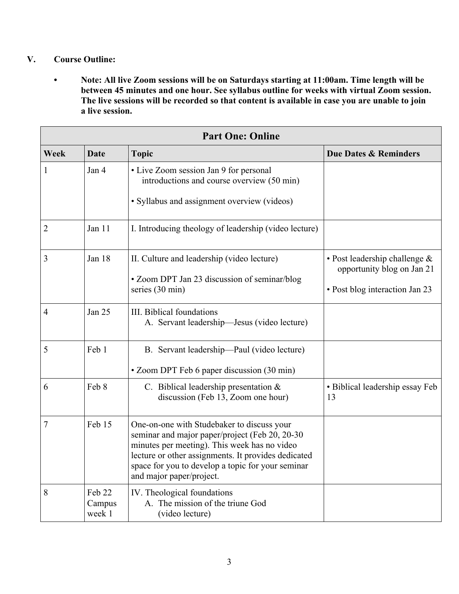# **V. Course Outline:**

**• Note: All live Zoom sessions will be on Saturdays starting at 11:00am. Time length will be between 45 minutes and one hour. See syllabus outline for weeks with virtual Zoom session. The live sessions will be recorded so that content is available in case you are unable to join a live session.**

| <b>Part One: Online</b> |                             |                                                                                                                                                                                                                                                                                      |                                                                                               |  |  |
|-------------------------|-----------------------------|--------------------------------------------------------------------------------------------------------------------------------------------------------------------------------------------------------------------------------------------------------------------------------------|-----------------------------------------------------------------------------------------------|--|--|
| Week                    | <b>Date</b><br><b>Topic</b> |                                                                                                                                                                                                                                                                                      | <b>Due Dates &amp; Reminders</b>                                                              |  |  |
| $\mathbf{1}$            | Jan 4                       | • Live Zoom session Jan 9 for personal<br>introductions and course overview (50 min)<br>· Syllabus and assignment overview (videos)                                                                                                                                                  |                                                                                               |  |  |
| $\overline{2}$          | Jan 11                      | I. Introducing theology of leadership (video lecture)                                                                                                                                                                                                                                |                                                                                               |  |  |
| 3                       | Jan 18                      | II. Culture and leadership (video lecture)<br>• Zoom DPT Jan 23 discussion of seminar/blog<br>series (30 min)                                                                                                                                                                        | • Post leadership challenge &<br>opportunity blog on Jan 21<br>• Post blog interaction Jan 23 |  |  |
| $\overline{4}$          | Jan 25                      | III. Biblical foundations<br>A. Servant leadership—Jesus (video lecture)                                                                                                                                                                                                             |                                                                                               |  |  |
| 5                       | Feb 1                       | B. Servant leadership—Paul (video lecture)<br>• Zoom DPT Feb 6 paper discussion (30 min)                                                                                                                                                                                             |                                                                                               |  |  |
| 6                       | Feb 8                       | C. Biblical leadership presentation &<br>discussion (Feb 13, Zoom one hour)                                                                                                                                                                                                          | · Biblical leadership essay Feb<br>13                                                         |  |  |
| 7                       | Feb 15                      | One-on-one with Studebaker to discuss your<br>seminar and major paper/project (Feb 20, 20-30<br>minutes per meeting). This week has no video<br>lecture or other assignments. It provides dedicated<br>space for you to develop a topic for your seminar<br>and major paper/project. |                                                                                               |  |  |
| 8                       | Feb 22<br>Campus<br>week 1  | IV. Theological foundations<br>A. The mission of the triune God<br>(video lecture)                                                                                                                                                                                                   |                                                                                               |  |  |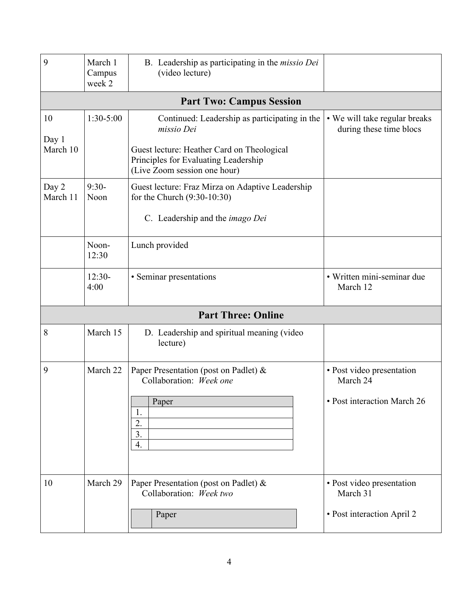| 9                       | March 1<br>Campus<br>week 2      | B. Leadership as participating in the <i>missio Dei</i><br>(video lecture)                                                                                                        |                                                                      |  |  |  |  |  |  |
|-------------------------|----------------------------------|-----------------------------------------------------------------------------------------------------------------------------------------------------------------------------------|----------------------------------------------------------------------|--|--|--|--|--|--|
|                         | <b>Part Two: Campus Session</b>  |                                                                                                                                                                                   |                                                                      |  |  |  |  |  |  |
| 10<br>Day 1<br>March 10 | $1:30-5:00$                      | Continued: Leadership as participating in the<br>missio Dei<br>Guest lecture: Heather Card on Theological<br>Principles for Evaluating Leadership<br>(Live Zoom session one hour) | • We will take regular breaks<br>during these time blocs             |  |  |  |  |  |  |
| Day 2<br>March 11       | $9:30-$<br>Noon                  |                                                                                                                                                                                   |                                                                      |  |  |  |  |  |  |
|                         | Noon-<br>Lunch provided<br>12:30 |                                                                                                                                                                                   |                                                                      |  |  |  |  |  |  |
|                         | $12:30-$<br>4:00                 | • Seminar presentations                                                                                                                                                           | · Written mini-seminar due<br>March 12                               |  |  |  |  |  |  |
|                         |                                  | <b>Part Three: Online</b>                                                                                                                                                         |                                                                      |  |  |  |  |  |  |
| 8                       | March 15                         | D. Leadership and spiritual meaning (video<br>lecture)                                                                                                                            |                                                                      |  |  |  |  |  |  |
| 9                       | March 22                         | Paper Presentation (post on Padlet) &<br>Collaboration: Week one<br>Paper<br>1.<br>2.<br>3.<br>4.                                                                                 | • Post video presentation<br>March 24<br>• Post interaction March 26 |  |  |  |  |  |  |
| 10                      | March 29                         | Paper Presentation (post on Padlet) &<br>Collaboration: Week two<br>Paper                                                                                                         | • Post video presentation<br>March 31<br>• Post interaction April 2  |  |  |  |  |  |  |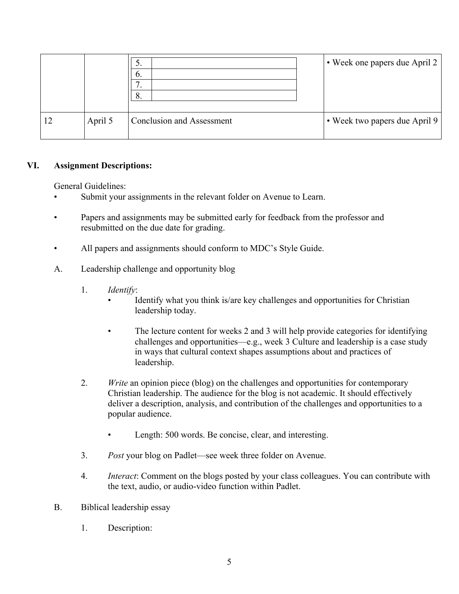|         | $\mathcal{S}.$<br>$\mathfrak{b}.$<br>−<br>8. | • Week one papers due April 2 |
|---------|----------------------------------------------|-------------------------------|
| April 5 | <b>Conclusion and Assessment</b>             | • Week two papers due April 9 |

## **VI. Assignment Descriptions:**

General Guidelines:

- Submit your assignments in the relevant folder on Avenue to Learn.
- Papers and assignments may be submitted early for feedback from the professor and resubmitted on the due date for grading.
- All papers and assignments should conform to MDC's Style Guide.
- A. Leadership challenge and opportunity blog
	- 1. *Identify*:
		- Identify what you think is/are key challenges and opportunities for Christian leadership today.
		- The lecture content for weeks 2 and 3 will help provide categories for identifying challenges and opportunities—e.g., week 3 Culture and leadership is a case study in ways that cultural context shapes assumptions about and practices of leadership.
	- 2. *Write* an opinion piece (blog) on the challenges and opportunities for contemporary Christian leadership. The audience for the blog is not academic. It should effectively deliver a description, analysis, and contribution of the challenges and opportunities to a popular audience.
		- Length: 500 words. Be concise, clear, and interesting.
	- 3. *Post* your blog on Padlet—see week three folder on Avenue.
	- 4. *Interact*: Comment on the blogs posted by your class colleagues. You can contribute with the text, audio, or audio-video function within Padlet.
- B. Biblical leadership essay
	- 1. Description: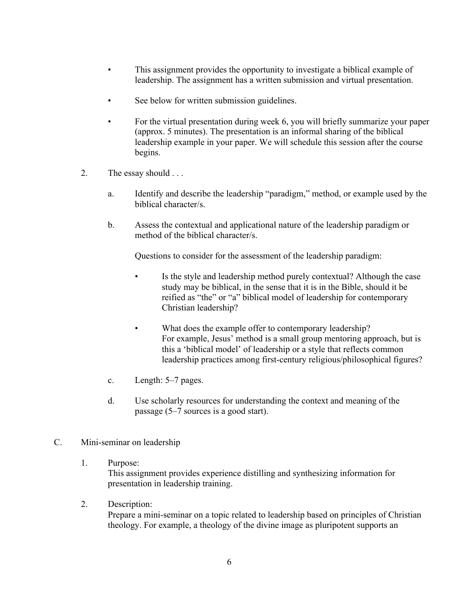- This assignment provides the opportunity to investigate a biblical example of leadership. The assignment has a written submission and virtual presentation.
- See below for written submission guidelines.
- For the virtual presentation during week 6, you will briefly summarize your paper (approx. 5 minutes). The presentation is an informal sharing of the biblical leadership example in your paper. We will schedule this session after the course begins.
- 2. The essay should . . .
	- a. Identify and describe the leadership "paradigm," method, or example used by the biblical character/s.
	- b. Assess the contextual and applicational nature of the leadership paradigm or method of the biblical character/s.

Questions to consider for the assessment of the leadership paradigm:

- Is the style and leadership method purely contextual? Although the case study may be biblical, in the sense that it is in the Bible, should it be reified as "the" or "a" biblical model of leadership for contemporary Christian leadership?
- What does the example offer to contemporary leadership? For example, Jesus' method is a small group mentoring approach, but is this a 'biblical model' of leadership or a style that reflects common leadership practices among first-century religious/philosophical figures?
- c. Length: 5–7 pages.
- d. Use scholarly resources for understanding the context and meaning of the passage (5–7 sources is a good start).
- C. Mini-seminar on leadership
	- 1. Purpose:

This assignment provides experience distilling and synthesizing information for presentation in leadership training.

2. Description:

Prepare a mini-seminar on a topic related to leadership based on principles of Christian theology. For example, a theology of the divine image as pluripotent supports an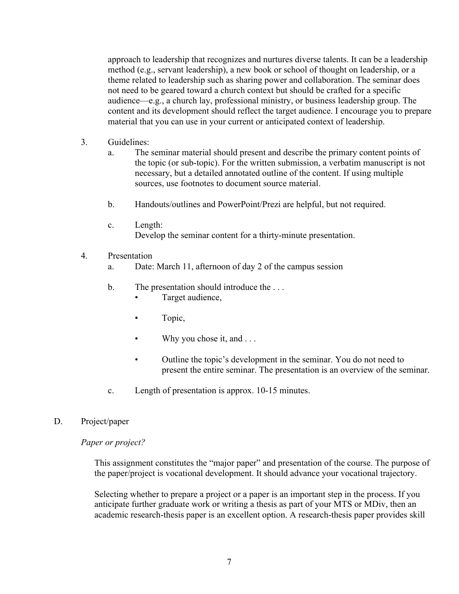approach to leadership that recognizes and nurtures diverse talents. It can be a leadership method (e.g., servant leadership), a new book or school of thought on leadership, or a theme related to leadership such as sharing power and collaboration. The seminar does not need to be geared toward a church context but should be crafted for a specific audience—e.g., a church lay, professional ministry, or business leadership group. The content and its development should reflect the target audience. I encourage you to prepare material that you can use in your current or anticipated context of leadership.

- 3. Guidelines:
	- a. The seminar material should present and describe the primary content points of the topic (or sub-topic). For the written submission, a verbatim manuscript is not necessary, but a detailed annotated outline of the content. If using multiple sources, use footnotes to document source material.
	- b. Handouts/outlines and PowerPoint/Prezi are helpful, but not required.
	- c. Length: Develop the seminar content for a thirty-minute presentation.
- 4. Presentation
	- a. Date: March 11, afternoon of day 2 of the campus session
	- b. The presentation should introduce the ...
		- Target audience,
		- Topic,
		- Why you chose it, and . . .
		- Outline the topic's development in the seminar. You do not need to present the entire seminar. The presentation is an overview of the seminar.
	- c. Length of presentation is approx. 10-15 minutes.

#### D. Project/paper

#### *Paper or project?*

This assignment constitutes the "major paper" and presentation of the course. The purpose of the paper/project is vocational development. It should advance your vocational trajectory.

Selecting whether to prepare a project or a paper is an important step in the process. If you anticipate further graduate work or writing a thesis as part of your MTS or MDiv, then an academic research-thesis paper is an excellent option. A research-thesis paper provides skill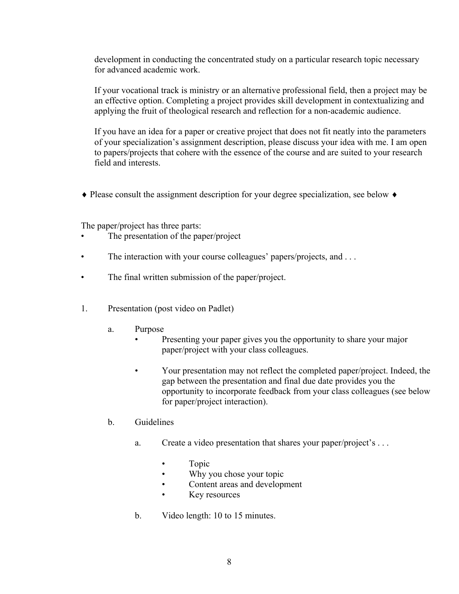development in conducting the concentrated study on a particular research topic necessary for advanced academic work.

If your vocational track is ministry or an alternative professional field, then a project may be an effective option. Completing a project provides skill development in contextualizing and applying the fruit of theological research and reflection for a non-academic audience.

If you have an idea for a paper or creative project that does not fit neatly into the parameters of your specialization's assignment description, please discuss your idea with me. I am open to papers/projects that cohere with the essence of the course and are suited to your research field and interests.

 $\triangle$  Please consult the assignment description for your degree specialization, see below  $\triangle$ 

The paper/project has three parts:

- The presentation of the paper/project
- The interaction with your course colleagues' papers/projects, and ...
- The final written submission of the paper/project.
- 1. Presentation (post video on Padlet)
	- a. Purpose
		- Presenting your paper gives you the opportunity to share your major paper/project with your class colleagues.
		- Your presentation may not reflect the completed paper/project. Indeed, the gap between the presentation and final due date provides you the opportunity to incorporate feedback from your class colleagues (see below for paper/project interaction).

# b. Guidelines

- a. Create a video presentation that shares your paper/project's . . .
	- Topic
	- Why you chose your topic
	- Content areas and development
	- Key resources
- b. Video length: 10 to 15 minutes.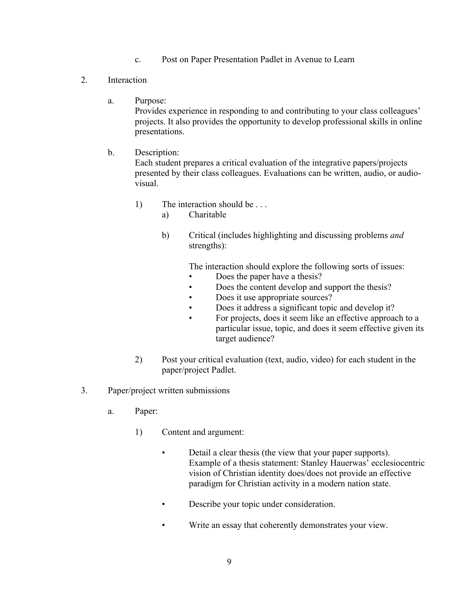- c. Post on Paper Presentation Padlet in Avenue to Learn
- 2. Interaction
	- a. Purpose:

Provides experience in responding to and contributing to your class colleagues' projects. It also provides the opportunity to develop professional skills in online presentations.

b. Description:

Each student prepares a critical evaluation of the integrative papers/projects presented by their class colleagues. Evaluations can be written, audio, or audiovisual.

- 1) The interaction should be . . .
	- a) Charitable
	- b) Critical (includes highlighting and discussing problems *and* strengths):

The interaction should explore the following sorts of issues:

- Does the paper have a thesis?
- Does the content develop and support the thesis?
- Does it use appropriate sources?
- Does it address a significant topic and develop it?
- For projects, does it seem like an effective approach to a particular issue, topic, and does it seem effective given its target audience?
- 2) Post your critical evaluation (text, audio, video) for each student in the paper/project Padlet.
- 3. Paper/project written submissions
	- a. Paper:
		- 1) Content and argument:
			- Detail a clear thesis (the view that your paper supports). Example of a thesis statement: Stanley Hauerwas' ecclesiocentric vision of Christian identity does/does not provide an effective paradigm for Christian activity in a modern nation state.
			- Describe your topic under consideration.
			- Write an essay that coherently demonstrates your view.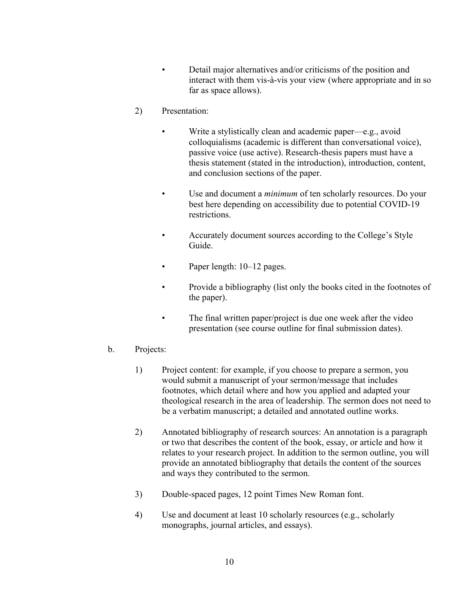- Detail major alternatives and/or criticisms of the position and interact with them vis-à-vis your view (where appropriate and in so far as space allows).
- 2) Presentation:
	- Write a stylistically clean and academic paper—e.g., avoid colloquialisms (academic is different than conversational voice), passive voice (use active). Research-thesis papers must have a thesis statement (stated in the introduction), introduction, content, and conclusion sections of the paper.
	- Use and document a *minimum* of ten scholarly resources. Do your best here depending on accessibility due to potential COVID-19 restrictions.
	- Accurately document sources according to the College's Style Guide.
	- Paper length:  $10-12$  pages.
	- Provide a bibliography (list only the books cited in the footnotes of the paper).
	- The final written paper/project is due one week after the video presentation (see course outline for final submission dates).
- b. Projects:
	- 1) Project content: for example, if you choose to prepare a sermon, you would submit a manuscript of your sermon/message that includes footnotes, which detail where and how you applied and adapted your theological research in the area of leadership. The sermon does not need to be a verbatim manuscript; a detailed and annotated outline works.
	- 2) Annotated bibliography of research sources: An annotation is a paragraph or two that describes the content of the book, essay, or article and how it relates to your research project. In addition to the sermon outline, you will provide an annotated bibliography that details the content of the sources and ways they contributed to the sermon.
	- 3) Double-spaced pages, 12 point Times New Roman font.
	- 4) Use and document at least 10 scholarly resources (e.g., scholarly monographs, journal articles, and essays).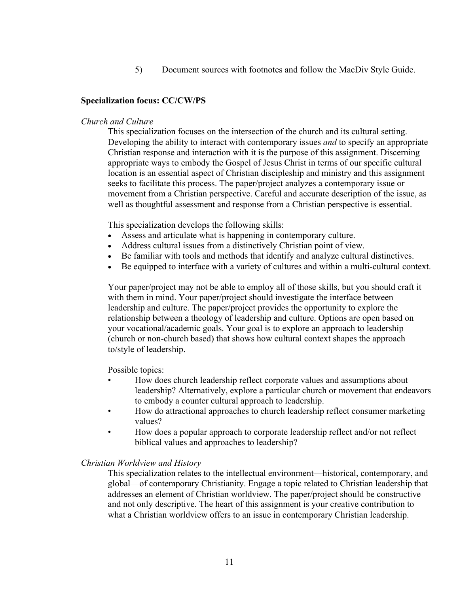5) Document sources with footnotes and follow the MacDiv Style Guide.

## **Specialization focus: CC/CW/PS**

#### *Church and Culture*

This specialization focuses on the intersection of the church and its cultural setting. Developing the ability to interact with contemporary issues *and* to specify an appropriate Christian response and interaction with it is the purpose of this assignment. Discerning appropriate ways to embody the Gospel of Jesus Christ in terms of our specific cultural location is an essential aspect of Christian discipleship and ministry and this assignment seeks to facilitate this process. The paper/project analyzes a contemporary issue or movement from a Christian perspective. Careful and accurate description of the issue, as well as thoughtful assessment and response from a Christian perspective is essential.

This specialization develops the following skills:

- Assess and articulate what is happening in contemporary culture.
- Address cultural issues from a distinctively Christian point of view.
- Be familiar with tools and methods that identify and analyze cultural distinctives.
- Be equipped to interface with a variety of cultures and within a multi-cultural context.

Your paper/project may not be able to employ all of those skills, but you should craft it with them in mind. Your paper/project should investigate the interface between leadership and culture. The paper/project provides the opportunity to explore the relationship between a theology of leadership and culture. Options are open based on your vocational/academic goals. Your goal is to explore an approach to leadership (church or non-church based) that shows how cultural context shapes the approach to/style of leadership.

Possible topics:

- How does church leadership reflect corporate values and assumptions about leadership? Alternatively, explore a particular church or movement that endeavors to embody a counter cultural approach to leadership.
- How do attractional approaches to church leadership reflect consumer marketing values?
- How does a popular approach to corporate leadership reflect and/or not reflect biblical values and approaches to leadership?

#### *Christian Worldview and History*

This specialization relates to the intellectual environment—historical, contemporary, and global—of contemporary Christianity. Engage a topic related to Christian leadership that addresses an element of Christian worldview. The paper/project should be constructive and not only descriptive. The heart of this assignment is your creative contribution to what a Christian worldview offers to an issue in contemporary Christian leadership.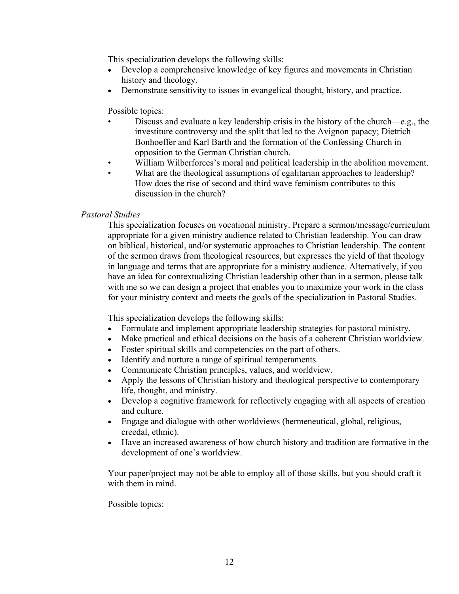This specialization develops the following skills:

- Develop a comprehensive knowledge of key figures and movements in Christian history and theology.
- Demonstrate sensitivity to issues in evangelical thought, history, and practice.

## Possible topics:

- Discuss and evaluate a key leadership crisis in the history of the church—e.g., the investiture controversy and the split that led to the Avignon papacy; Dietrich Bonhoeffer and Karl Barth and the formation of the Confessing Church in opposition to the German Christian church.
- William Wilberforces's moral and political leadership in the abolition movement.
- What are the theological assumptions of egalitarian approaches to leadership? How does the rise of second and third wave feminism contributes to this discussion in the church?

## *Pastoral Studies*

This specialization focuses on vocational ministry. Prepare a sermon/message/curriculum appropriate for a given ministry audience related to Christian leadership. You can draw on biblical, historical, and/or systematic approaches to Christian leadership. The content of the sermon draws from theological resources, but expresses the yield of that theology in language and terms that are appropriate for a ministry audience. Alternatively, if you have an idea for contextualizing Christian leadership other than in a sermon, please talk with me so we can design a project that enables you to maximize your work in the class for your ministry context and meets the goals of the specialization in Pastoral Studies.

This specialization develops the following skills:

- Formulate and implement appropriate leadership strategies for pastoral ministry.
- Make practical and ethical decisions on the basis of a coherent Christian worldview.
- Foster spiritual skills and competencies on the part of others.
- Identify and nurture a range of spiritual temperaments.
- Communicate Christian principles, values, and worldview.
- Apply the lessons of Christian history and theological perspective to contemporary life, thought, and ministry.
- Develop a cognitive framework for reflectively engaging with all aspects of creation and culture.
- Engage and dialogue with other worldviews (hermeneutical, global, religious, creedal, ethnic).
- Have an increased awareness of how church history and tradition are formative in the development of one's worldview.

Your paper/project may not be able to employ all of those skills, but you should craft it with them in mind.

#### Possible topics: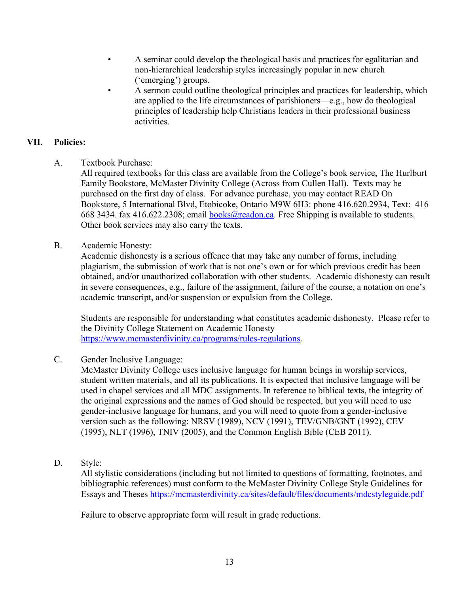- A seminar could develop the theological basis and practices for egalitarian and non-hierarchical leadership styles increasingly popular in new church ('emerging') groups.
- A sermon could outline theological principles and practices for leadership, which are applied to the life circumstances of parishioners—e.g., how do theological principles of leadership help Christians leaders in their professional business activities.

# **VII. Policies:**

A. Textbook Purchase:

All required textbooks for this class are available from the College's book service, The Hurlburt Family Bookstore, McMaster Divinity College (Across from Cullen Hall). Texts may be purchased on the first day of class. For advance purchase, you may contact READ On Bookstore, 5 International Blvd, Etobicoke, Ontario M9W 6H3: phone 416.620.2934, Text: 416 668 3434. fax 416.622.2308; email books@readon.ca. Free Shipping is available to students. Other book services may also carry the texts.

B. Academic Honesty:

Academic dishonesty is a serious offence that may take any number of forms, including plagiarism, the submission of work that is not one's own or for which previous credit has been obtained, and/or unauthorized collaboration with other students. Academic dishonesty can result in severe consequences, e.g., failure of the assignment, failure of the course, a notation on one's academic transcript, and/or suspension or expulsion from the College.

Students are responsible for understanding what constitutes academic dishonesty. Please refer to the Divinity College Statement on Academic Honesty https://www.mcmasterdivinity.ca/programs/rules-regulations.

# C. Gender Inclusive Language:

McMaster Divinity College uses inclusive language for human beings in worship services, student written materials, and all its publications. It is expected that inclusive language will be used in chapel services and all MDC assignments. In reference to biblical texts, the integrity of the original expressions and the names of God should be respected, but you will need to use gender-inclusive language for humans, and you will need to quote from a gender-inclusive version such as the following: NRSV (1989), NCV (1991), TEV/GNB/GNT (1992), CEV (1995), NLT (1996), TNIV (2005), and the Common English Bible (CEB 2011).

# D. Style:

All stylistic considerations (including but not limited to questions of formatting, footnotes, and bibliographic references) must conform to the McMaster Divinity College Style Guidelines for Essays and Theses https://mcmasterdivinity.ca/sites/default/files/documents/mdcstyleguide.pdf

Failure to observe appropriate form will result in grade reductions.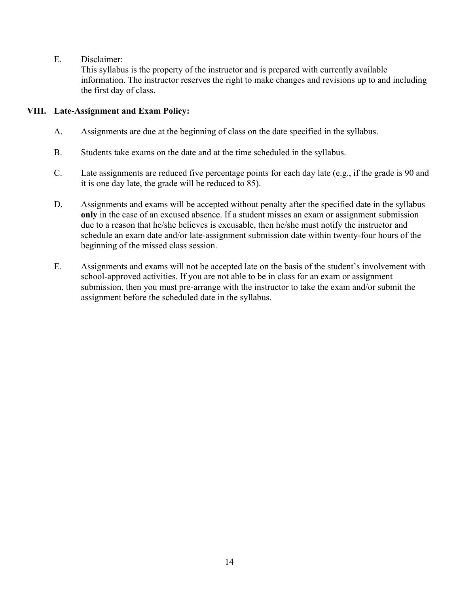E. Disclaimer:

This syllabus is the property of the instructor and is prepared with currently available information. The instructor reserves the right to make changes and revisions up to and including the first day of class.

# **VIII. Late-Assignment and Exam Policy:**

- A. Assignments are due at the beginning of class on the date specified in the syllabus.
- B. Students take exams on the date and at the time scheduled in the syllabus.
- C. Late assignments are reduced five percentage points for each day late (e.g., if the grade is 90 and it is one day late, the grade will be reduced to 85).
- D. Assignments and exams will be accepted without penalty after the specified date in the syllabus **only** in the case of an excused absence. If a student misses an exam or assignment submission due to a reason that he/she believes is excusable, then he/she must notify the instructor and schedule an exam date and/or late-assignment submission date within twenty-four hours of the beginning of the missed class session.
- E. Assignments and exams will not be accepted late on the basis of the student's involvement with school-approved activities. If you are not able to be in class for an exam or assignment submission, then you must pre-arrange with the instructor to take the exam and/or submit the assignment before the scheduled date in the syllabus.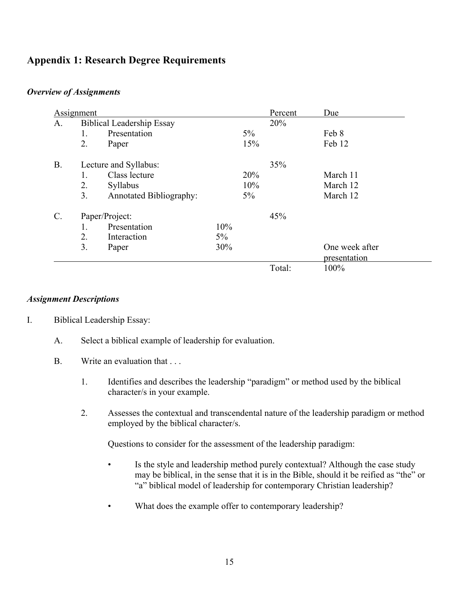# **Appendix 1: Research Degree Requirements**

## *Overview of Assignments*

| <b>Assignment</b> |    |                                  |       |       | Percent | Due            |
|-------------------|----|----------------------------------|-------|-------|---------|----------------|
| A.                |    | <b>Biblical Leadership Essay</b> |       |       | 20%     |                |
|                   | 1. | Presentation                     |       | $5\%$ |         | Feb 8          |
|                   | 2. | Paper                            |       | 15%   |         | Feb 12         |
| <b>B.</b>         |    | Lecture and Syllabus:            |       |       |         |                |
|                   | 1. | Class lecture                    |       | 20%   |         | March 11       |
|                   | 2. | Syllabus                         |       | 10%   |         | March 12       |
|                   | 3. | <b>Annotated Bibliography:</b>   |       | $5\%$ |         | March 12       |
| C.                |    | Paper/Project:                   |       |       | 45%     |                |
|                   | 1. | Presentation                     | 10%   |       |         |                |
|                   | 2. | Interaction                      | $5\%$ |       |         |                |
|                   | 3. | Paper                            | 30%   |       |         | One week after |
|                   |    |                                  |       |       |         | presentation   |
|                   |    |                                  |       |       | Total:  | 100%           |

#### *Assignment Descriptions*

- I. Biblical Leadership Essay:
	- A. Select a biblical example of leadership for evaluation.
	- B. Write an evaluation that ...
		- 1. Identifies and describes the leadership "paradigm" or method used by the biblical character/s in your example.
		- 2. Assesses the contextual and transcendental nature of the leadership paradigm or method employed by the biblical character/s.

Questions to consider for the assessment of the leadership paradigm:

- Is the style and leadership method purely contextual? Although the case study may be biblical, in the sense that it is in the Bible, should it be reified as "the" or "a" biblical model of leadership for contemporary Christian leadership?
- What does the example offer to contemporary leadership?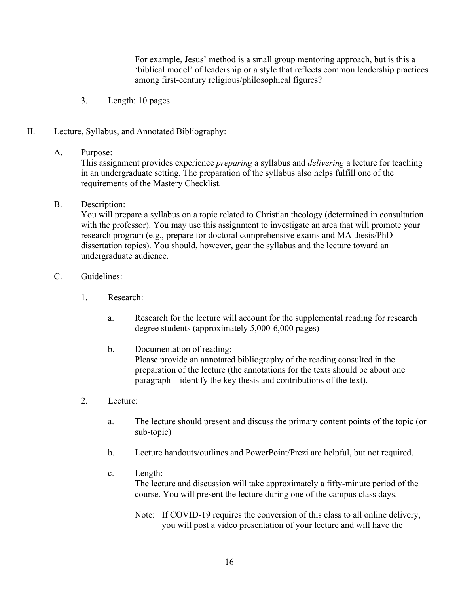For example, Jesus' method is a small group mentoring approach, but is this a 'biblical model' of leadership or a style that reflects common leadership practices among first-century religious/philosophical figures?

- 3. Length: 10 pages.
- II. Lecture, Syllabus, and Annotated Bibliography:

#### A. Purpose:

This assignment provides experience *preparing* a syllabus and *delivering* a lecture for teaching in an undergraduate setting. The preparation of the syllabus also helps fulfill one of the requirements of the Mastery Checklist.

## B. Description:

You will prepare a syllabus on a topic related to Christian theology (determined in consultation with the professor). You may use this assignment to investigate an area that will promote your research program (e.g., prepare for doctoral comprehensive exams and MA thesis/PhD dissertation topics). You should, however, gear the syllabus and the lecture toward an undergraduate audience.

## C. Guidelines:

- 1. Research:
	- a. Research for the lecture will account for the supplemental reading for research degree students (approximately 5,000-6,000 pages)
	- b. Documentation of reading: Please provide an annotated bibliography of the reading consulted in the preparation of the lecture (the annotations for the texts should be about one paragraph—identify the key thesis and contributions of the text).
- 2. Lecture:
	- a. The lecture should present and discuss the primary content points of the topic (or sub-topic)
	- b. Lecture handouts/outlines and PowerPoint/Prezi are helpful, but not required.
	- c. Length: The lecture and discussion will take approximately a fifty-minute period of the course. You will present the lecture during one of the campus class days.
		- Note: If COVID-19 requires the conversion of this class to all online delivery, you will post a video presentation of your lecture and will have the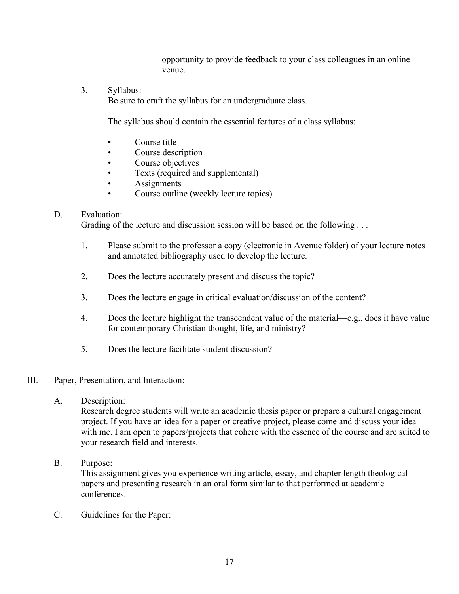opportunity to provide feedback to your class colleagues in an online venue.

3. Syllabus:

Be sure to craft the syllabus for an undergraduate class.

The syllabus should contain the essential features of a class syllabus:

- Course title
- Course description
- Course objectives
- Texts (required and supplemental)
- **Assignments**
- Course outline (weekly lecture topics)

# D. Evaluation:

Grading of the lecture and discussion session will be based on the following ...

- 1. Please submit to the professor a copy (electronic in Avenue folder) of your lecture notes and annotated bibliography used to develop the lecture.
- 2. Does the lecture accurately present and discuss the topic?
- 3. Does the lecture engage in critical evaluation/discussion of the content?
- 4. Does the lecture highlight the transcendent value of the material—e.g., does it have value for contemporary Christian thought, life, and ministry?
- 5. Does the lecture facilitate student discussion?

# III. Paper, Presentation, and Interaction:

A. Description:

Research degree students will write an academic thesis paper or prepare a cultural engagement project. If you have an idea for a paper or creative project, please come and discuss your idea with me. I am open to papers/projects that cohere with the essence of the course and are suited to your research field and interests.

B. Purpose:

This assignment gives you experience writing article, essay, and chapter length theological papers and presenting research in an oral form similar to that performed at academic conferences.

C. Guidelines for the Paper: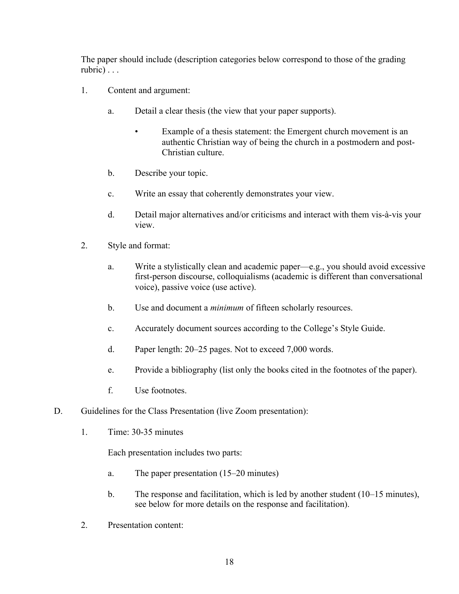The paper should include (description categories below correspond to those of the grading rubric) . . .

- 1. Content and argument:
	- a. Detail a clear thesis (the view that your paper supports).
		- Example of a thesis statement: the Emergent church movement is an authentic Christian way of being the church in a postmodern and post-Christian culture.
	- b. Describe your topic.
	- c. Write an essay that coherently demonstrates your view.
	- d. Detail major alternatives and/or criticisms and interact with them vis-à-vis your view.
- 2. Style and format:
	- a. Write a stylistically clean and academic paper—e.g., you should avoid excessive first-person discourse, colloquialisms (academic is different than conversational voice), passive voice (use active).
	- b. Use and document a *minimum* of fifteen scholarly resources.
	- c. Accurately document sources according to the College's Style Guide.
	- d. Paper length: 20–25 pages. Not to exceed 7,000 words.
	- e. Provide a bibliography (list only the books cited in the footnotes of the paper).
	- f. Use footnotes.
- D. Guidelines for the Class Presentation (live Zoom presentation):
	- 1. Time: 30-35 minutes

Each presentation includes two parts:

- a. The paper presentation (15–20 minutes)
- b. The response and facilitation, which is led by another student (10–15 minutes), see below for more details on the response and facilitation).
- 2. Presentation content: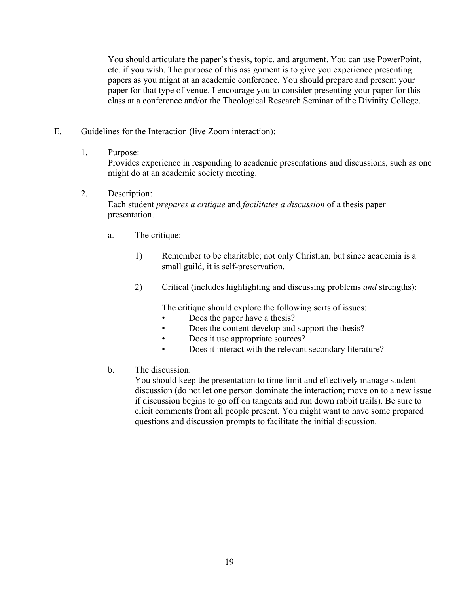You should articulate the paper's thesis, topic, and argument. You can use PowerPoint, etc. if you wish. The purpose of this assignment is to give you experience presenting papers as you might at an academic conference. You should prepare and present your paper for that type of venue. I encourage you to consider presenting your paper for this class at a conference and/or the Theological Research Seminar of the Divinity College.

E. Guidelines for the Interaction (live Zoom interaction):

## 1. Purpose:

Provides experience in responding to academic presentations and discussions, such as one might do at an academic society meeting.

- 2. Description: Each student *prepares a critique* and *facilitates a discussion* of a thesis paper presentation.
	- a. The critique:
		- 1) Remember to be charitable; not only Christian, but since academia is a small guild, it is self-preservation.
		- 2) Critical (includes highlighting and discussing problems *and* strengths):

The critique should explore the following sorts of issues:

- Does the paper have a thesis?
- Does the content develop and support the thesis?
- Does it use appropriate sources?
- Does it interact with the relevant secondary literature?
- b. The discussion:

You should keep the presentation to time limit and effectively manage student discussion (do not let one person dominate the interaction; move on to a new issue if discussion begins to go off on tangents and run down rabbit trails). Be sure to elicit comments from all people present. You might want to have some prepared questions and discussion prompts to facilitate the initial discussion.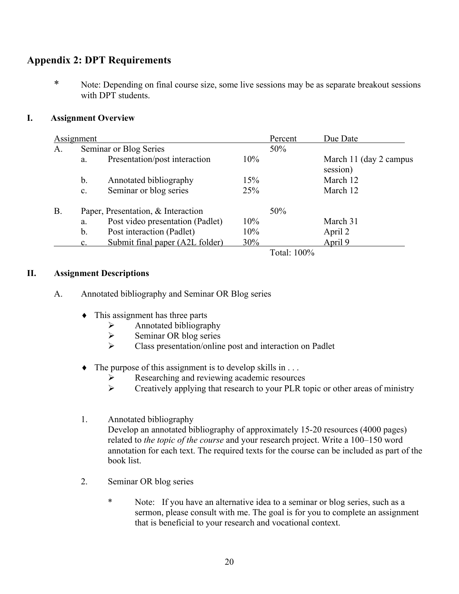# **Appendix 2: DPT Requirements**

\* Note: Depending on final course size, some live sessions may be as separate breakout sessions with DPT students.

# **I. Assignment Overview**

|           | Assignment     |                                    | Percent | Due Date    |                                     |
|-----------|----------------|------------------------------------|---------|-------------|-------------------------------------|
| A.        |                | Seminar or Blog Series             | 50%     |             |                                     |
|           | a.             | Presentation/post interaction      | 10%     |             | March 11 (day 2 campus)<br>session) |
|           | b.             | Annotated bibliography             | 15%     |             | March 12                            |
|           | c.             | Seminar or blog series             | 25%     |             | March 12                            |
| <b>B.</b> |                | Paper, Presentation, & Interaction | 50%     |             |                                     |
|           | a.             | Post video presentation (Padlet)   | 10%     |             | March 31                            |
|           | $b$ .          | Post interaction (Padlet)          | 10%     |             | April 2                             |
|           | $\mathbf{c}$ . | Submit final paper (A2L folder)    | 30%     |             | April 9                             |
|           |                |                                    |         | Total: 100% |                                     |

## **II. Assignment Descriptions**

- A. Annotated bibliography and Seminar OR Blog series
	- $\bullet$  This assignment has three parts
		- $\triangleright$  Annotated bibliography
		- $\triangleright$  Seminar OR blog series
		- $\triangleright$  Class presentation/online post and interaction on Padlet
	- $\bullet$  The purpose of this assignment is to develop skills in ...
		- Ø Researching and reviewing academic resources
		- $\triangleright$  Creatively applying that research to your PLR topic or other areas of ministry
	- 1. Annotated bibliography Develop an annotated bibliography of approximately 15-20 resources (4000 pages) related to *the topic of the course* and your research project. Write a 100–150 word annotation for each text. The required texts for the course can be included as part of the book list.
	- 2. Seminar OR blog series
		- \* Note: If you have an alternative idea to a seminar or blog series, such as a sermon, please consult with me. The goal is for you to complete an assignment that is beneficial to your research and vocational context.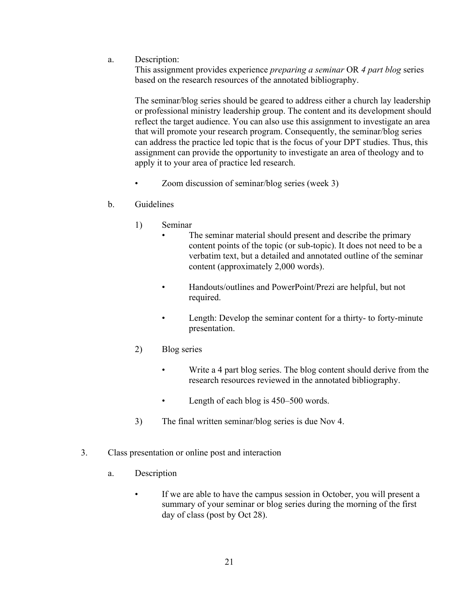a. Description:

This assignment provides experience *preparing a seminar* OR *4 part blog* series based on the research resources of the annotated bibliography.

The seminar/blog series should be geared to address either a church lay leadership or professional ministry leadership group. The content and its development should reflect the target audience. You can also use this assignment to investigate an area that will promote your research program. Consequently, the seminar/blog series can address the practice led topic that is the focus of your DPT studies. Thus, this assignment can provide the opportunity to investigate an area of theology and to apply it to your area of practice led research.

- Zoom discussion of seminar/blog series (week 3)
- b. Guidelines
	- 1) Seminar
		- The seminar material should present and describe the primary content points of the topic (or sub-topic). It does not need to be a verbatim text, but a detailed and annotated outline of the seminar content (approximately 2,000 words).
		- Handouts/outlines and PowerPoint/Prezi are helpful, but not required.
		- Length: Develop the seminar content for a thirty- to forty-minute presentation.
	- 2) Blog series
		- Write a 4 part blog series. The blog content should derive from the research resources reviewed in the annotated bibliography.
		- Length of each blog is 450–500 words.
	- 3) The final written seminar/blog series is due Nov 4.
- 3. Class presentation or online post and interaction
	- a. Description
		- If we are able to have the campus session in October, you will present a summary of your seminar or blog series during the morning of the first day of class (post by Oct 28).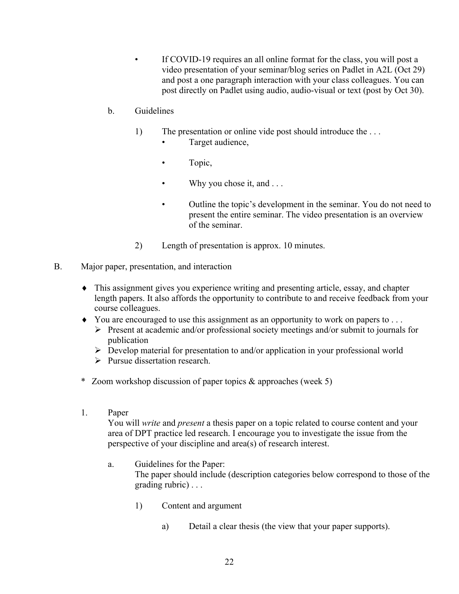If COVID-19 requires an all online format for the class, you will post a video presentation of your seminar/blog series on Padlet in A2L (Oct 29) and post a one paragraph interaction with your class colleagues. You can post directly on Padlet using audio, audio-visual or text (post by Oct 30).

# b. Guidelines

- 1) The presentation or online vide post should introduce the . . .
	- Target audience,
	- Topic,
	- Why you chose it, and  $\dots$
	- Outline the topic's development in the seminar. You do not need to present the entire seminar. The video presentation is an overview of the seminar.
- 2) Length of presentation is approx. 10 minutes.
- B. Major paper, presentation, and interaction
	- This assignment gives you experience writing and presenting article, essay, and chapter length papers. It also affords the opportunity to contribute to and receive feedback from your course colleagues.
	- $\bullet$  You are encouraged to use this assignment as an opportunity to work on papers to ...
		- $\triangleright$  Present at academic and/or professional society meetings and/or submit to journals for publication
		- $\triangleright$  Develop material for presentation to and/or application in your professional world
		- $\triangleright$  Pursue dissertation research.
	- \* Zoom workshop discussion of paper topics & approaches (week 5)
	- 1. Paper

You will *write* and *present* a thesis paper on a topic related to course content and your area of DPT practice led research. I encourage you to investigate the issue from the perspective of your discipline and area(s) of research interest.

- a. Guidelines for the Paper: The paper should include (description categories below correspond to those of the grading rubric) . . .
	- 1) Content and argument
		- a) Detail a clear thesis (the view that your paper supports).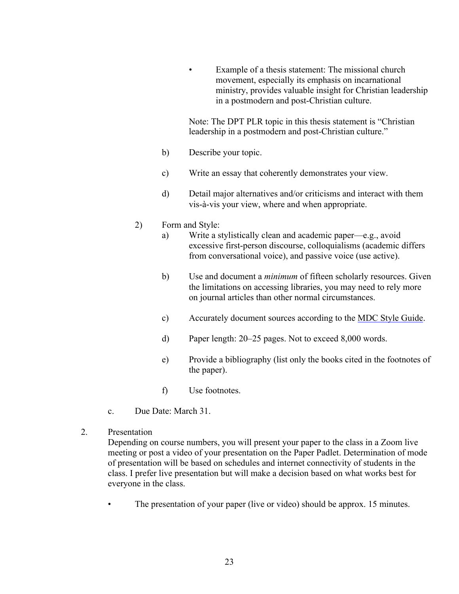Example of a thesis statement: The missional church movement, especially its emphasis on incarnational ministry, provides valuable insight for Christian leadership in a postmodern and post-Christian culture.

Note: The DPT PLR topic in this thesis statement is "Christian leadership in a postmodern and post-Christian culture."

- b) Describe your topic.
- c) Write an essay that coherently demonstrates your view.
- d) Detail major alternatives and/or criticisms and interact with them vis-à-vis your view, where and when appropriate.

#### 2) Form and Style:

- a) Write a stylistically clean and academic paper—e.g., avoid excessive first-person discourse, colloquialisms (academic differs from conversational voice), and passive voice (use active).
- b) Use and document a *minimum* of fifteen scholarly resources. Given the limitations on accessing libraries, you may need to rely more on journal articles than other normal circumstances.
- c) Accurately document sources according to the MDC Style Guide.
- d) Paper length: 20–25 pages. Not to exceed 8,000 words.
- e) Provide a bibliography (list only the books cited in the footnotes of the paper).
- f) Use footnotes.
- c. Due Date: March 31.
- 2. Presentation

Depending on course numbers, you will present your paper to the class in a Zoom live meeting or post a video of your presentation on the Paper Padlet. Determination of mode of presentation will be based on schedules and internet connectivity of students in the class. I prefer live presentation but will make a decision based on what works best for everyone in the class.

The presentation of your paper (live or video) should be approx. 15 minutes.